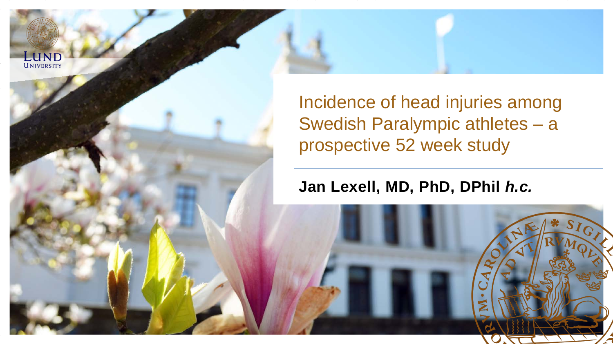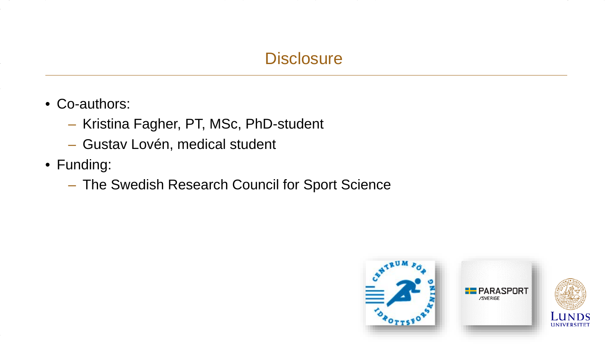### **Disclosure**

- Co-authors:
	- Kristina Fagher, PT, MSc, PhD-student
	- Gustav Lovén, medical student
- Funding:
	- The Swedish Research Council for Sport Science



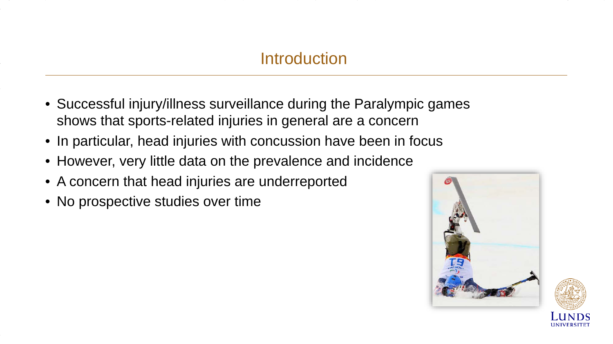### **Introduction**

- Successful injury/illness surveillance during the Paralympic games shows that sports-related injuries in general are a concern
- In particular, head injuries with concussion have been in focus
- However, very little data on the prevalence and incidence
- A concern that head injuries are underreported
- No prospective studies over time



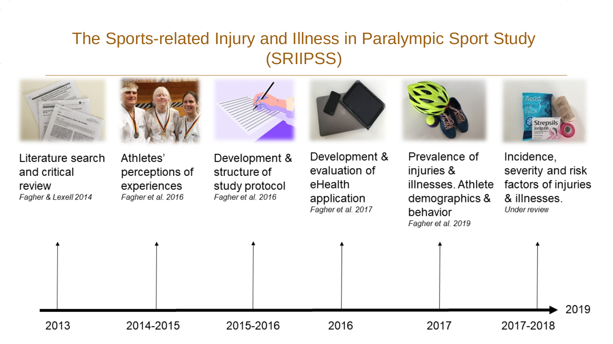# The Sports-related Injury and Illness in Paralympic Sport Study (SRIIPSS)





Literature search and critical review Fagher & Lexell 2014

Athletes' perceptions of experiences Fagher et al. 2016

Development & structure of study protocol

Fagher et al. 2016





Prevalence of injuries & illnesses Athlete demographics & behavior Fagher et al. 2019



Incidence, severity and risk factors of injuries & illnesses. **Under review** 

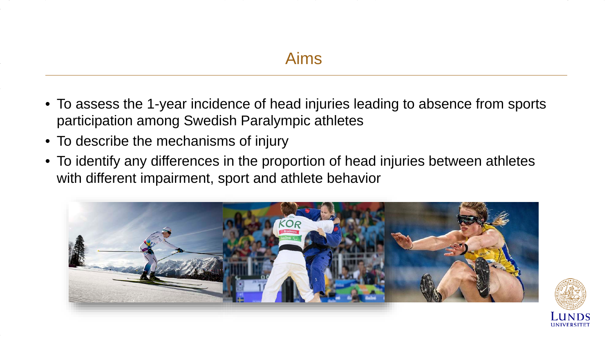- To assess the 1-year incidence of head injuries leading to absence from sports participation among Swedish Paralympic athletes
- To describe the mechanisms of injury
- To identify any differences in the proportion of head injuries between athletes with different impairment, sport and athlete behavior

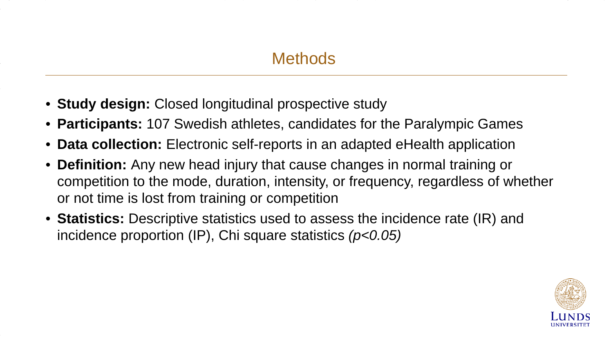- **Study design:** Closed longitudinal prospective study
- **Participants:** 107 Swedish athletes, candidates for the Paralympic Games
- **Data collection:** Electronic self-reports in an adapted eHealth application
- **Definition:** Any new head injury that cause changes in normal training or competition to the mode, duration, intensity, or frequency, regardless of whether or not time is lost from training or competition
- **Statistics:** Descriptive statistics used to assess the incidence rate (IR) and incidence proportion (IP), Chi square statistics *(p<0.05)*

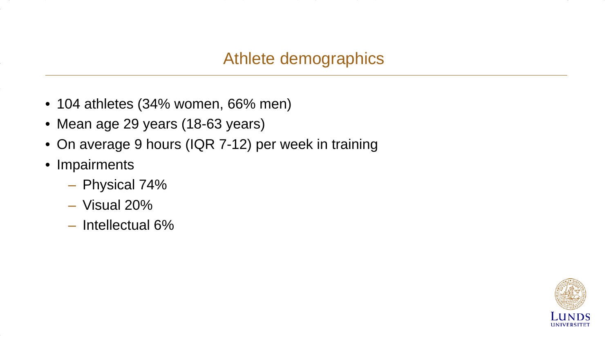### Athlete demographics

- 104 athletes (34% women, 66% men)
- Mean age 29 years (18-63 years)
- On average 9 hours (IQR 7-12) per week in training
- Impairments
	- Physical 74%
	- Visual 20%
	- Intellectual 6%

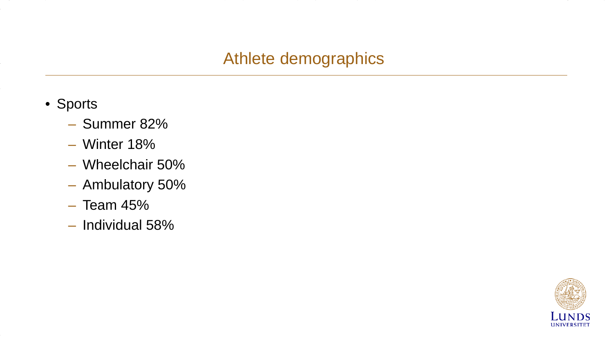### Athlete demographics

- Sports
	- Summer 82%
	- Winter 18%
	- Wheelchair 50%
	- Ambulatory 50%
	- Team 45%
	- Individual 58%

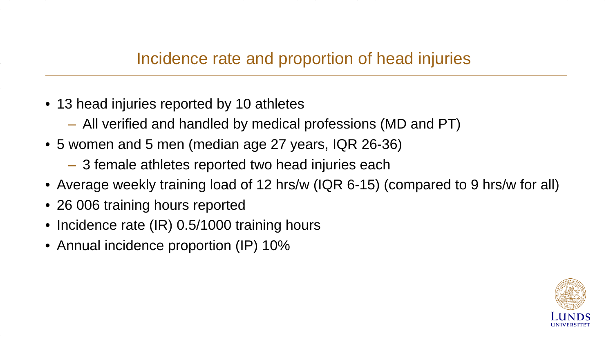- 13 head injuries reported by 10 athletes
	- All verified and handled by medical professions (MD and PT)
- 5 women and 5 men (median age 27 years, IQR 26-36)
	- 3 female athletes reported two head injuries each
- Average weekly training load of 12 hrs/w (IQR 6-15) (compared to 9 hrs/w for all)
- 26 006 training hours reported
- Incidence rate (IR) 0.5/1000 training hours
- Annual incidence proportion (IP) 10%

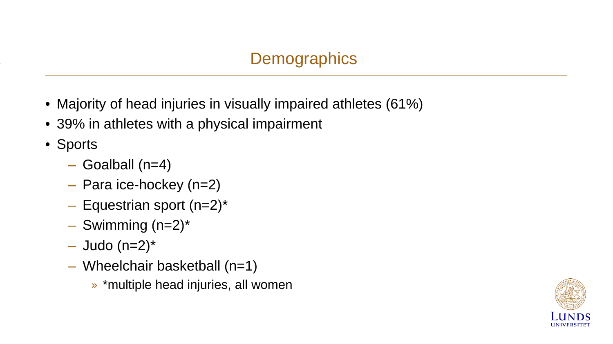- Majority of head injuries in visually impaired athletes (61%)
- 39% in athletes with a physical impairment
- Sports
	- Goalball (n=4)
	- Para ice-hockey (n=2)
	- $-$  Equestrian sport (n=2)\*
	- $-$  Swimming (n=2)\*
	- $-$  Judo (n=2)\*
	- Wheelchair basketball (n=1)
		- » \*multiple head injuries, all women

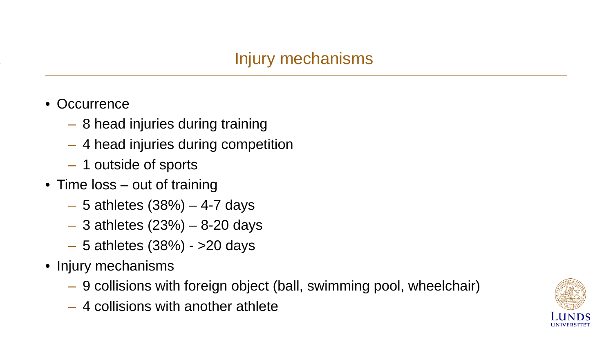# Injury mechanisms

- Occurrence
	- 8 head injuries during training
	- 4 head injuries during competition
	- 1 outside of sports
- Time loss out of training
	- $-5$  athletes (38%)  $-4$ -7 days
	- $-$  3 athletes (23%)  $-$  8-20 days
	- 5 athletes (38%) >20 days
- Injury mechanisms
	- 9 collisions with foreign object (ball, swimming pool, wheelchair)
	- 4 collisions with another athlete

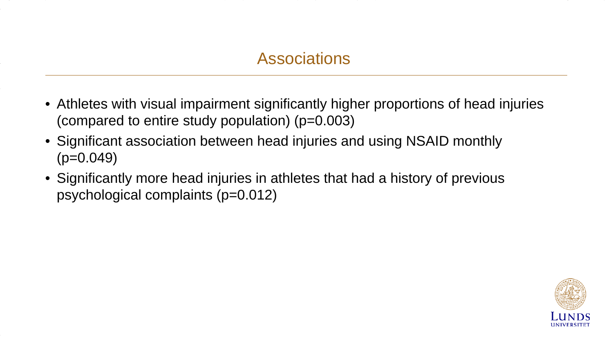- Athletes with visual impairment significantly higher proportions of head injuries (compared to entire study population) (p=0.003)
- Significant association between head injuries and using NSAID monthly  $(p=0.049)$
- Significantly more head injuries in athletes that had a history of previous psychological complaints (p=0.012)